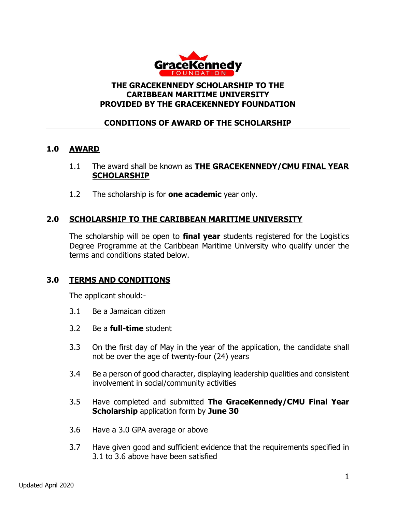

#### **THE GRACEKENNEDY SCHOLARSHIP TO THE CARIBBEAN MARITIME UNIVERSITY PROVIDED BY THE GRACEKENNEDY FOUNDATION**

## **CONDITIONS OF AWARD OF THE SCHOLARSHIP**

## **1.0 AWARD**

- 1.1 The award shall be known as **THE GRACEKENNEDY/CMU FINAL YEAR SCHOLARSHIP**
- 1.2 The scholarship is for **one academic** year only.

## **2.0 SCHOLARSHIP TO THE CARIBBEAN MARITIME UNIVERSITY**

The scholarship will be open to **final year** students registered for the Logistics Degree Programme at the Caribbean Maritime University who qualify under the terms and conditions stated below.

#### **3.0 TERMS AND CONDITIONS**

The applicant should:-

- 3.1 Be a Jamaican citizen
- 3.2 Be a **full-time** student
- 3.3 On the first day of May in the year of the application, the candidate shall not be over the age of twenty-four (24) years
- 3.4 Be a person of good character, displaying leadership qualities and consistent involvement in social/community activities
- 3.5 Have completed and submitted **The GraceKennedy/CMU Final Year Scholarship** application form by **June 30**
- 3.6 Have a 3.0 GPA average or above
- 3.7 Have given good and sufficient evidence that the requirements specified in 3.1 to 3.6 above have been satisfied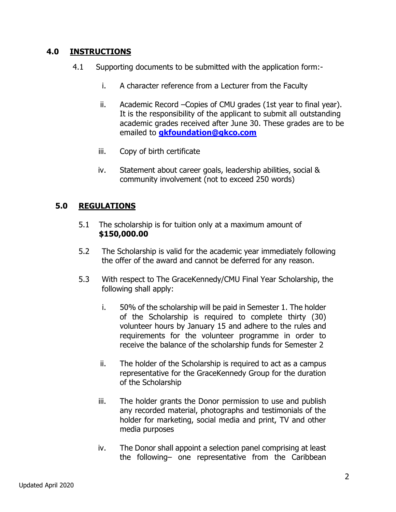#### **4.0 INSTRUCTIONS**

- 4.1 Supporting documents to be submitted with the application form:
	- i. A character reference from a Lecturer from the Faculty
	- ii. Academic Record –Copies of CMU grades (1st year to final year). It is the responsibility of the applicant to submit all outstanding academic grades received after June 30. These grades are to be emailed to **[gkfoundation@gkco.com](mailto:gkfoundation@gkco.com)**
	- iii. Copy of birth certificate
	- iv. Statement about career goals, leadership abilities, social & community involvement (not to exceed 250 words)

# **5.0 REGULATIONS**

- 5.1 The scholarship is for tuition only at a maximum amount of **\$150,000.00**
- 5.2 The Scholarship is valid for the academic year immediately following the offer of the award and cannot be deferred for any reason.
- 5.3 With respect to The GraceKennedy/CMU Final Year Scholarship, the following shall apply:
	- i. 50% of the scholarship will be paid in Semester 1. The holder of the Scholarship is required to complete thirty (30) volunteer hours by January 15 and adhere to the rules and requirements for the volunteer programme in order to receive the balance of the scholarship funds for Semester 2
	- ii. The holder of the Scholarship is required to act as a campus representative for the GraceKennedy Group for the duration of the Scholarship
	- iii. The holder grants the Donor permission to use and publish any recorded material, photographs and testimonials of the holder for marketing, social media and print, TV and other media purposes
	- iv. The Donor shall appoint a selection panel comprising at least the following– one representative from the Caribbean